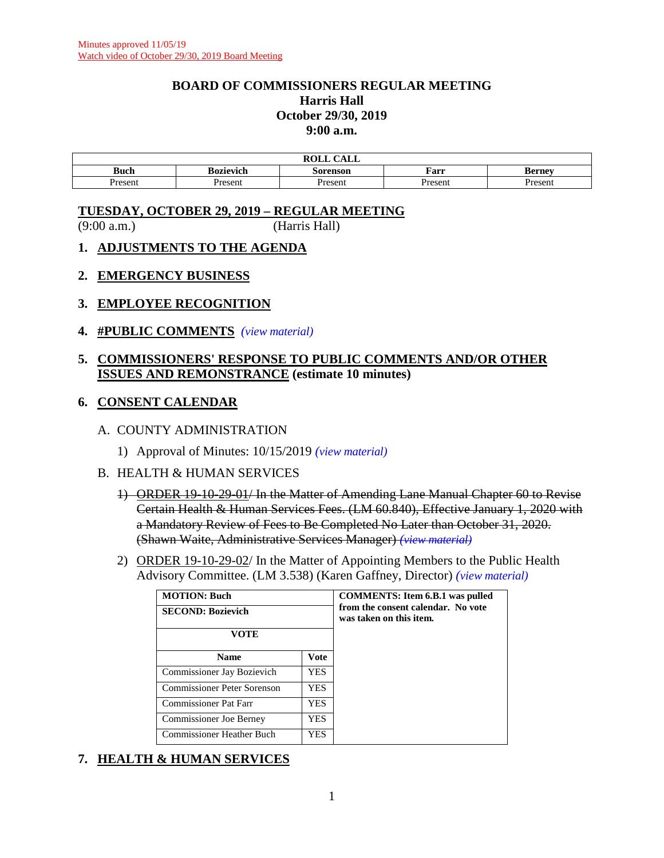#### **BOARD OF COMMISSIONERS REGULAR MEETING Harris Hall October 29/30, 2019 9:00 a.m.**

| DAIT.<br>C1T<br>1 L L |           |          |         |               |  |  |
|-----------------------|-----------|----------|---------|---------------|--|--|
| <b>Buch</b>           | Bozievich | Sorenson | Farr    | <b>Berney</b> |  |  |
| Present               | resent    | resent?  | Present | resent        |  |  |

#### **TUESDAY, OCTOBER 29, 2019 – REGULAR MEETING**

(9:00 a.m.) (Harris Hall)

- **1. ADJUSTMENTS TO THE AGENDA**
- **2. EMERGENCY BUSINESS**
- **3. EMPLOYEE RECOGNITION**
- **4. #PUBLIC COMMENTS** *(view [material\)](http://www.lanecountyor.gov/UserFiles/Servers/Server_3585797/File/Government/BCC/2019/2019_AGENDAS/102919agenda/T.4.pdf)*

#### **5. COMMISSIONERS' RESPONSE TO PUBLIC COMMENTS AND/OR OTHER ISSUES AND REMONSTRANCE (estimate 10 minutes)**

#### **6. CONSENT CALENDAR**

#### A. COUNTY ADMINISTRATION

- 1) Approval of Minutes: 10/15/2019 *(view [material\)](http://www.lanecountyor.gov/UserFiles/Servers/Server_3585797/File/Government/BCC/2019/2019_AGENDAS/102919agenda/T.6.A.1.pdf)*
- B. HEALTH & HUMAN SERVICES
	- 1) ORDER 19-10-29-01/ In the Matter of Amending Lane Manual Chapter 60 to Revise Certain Health & Human Services Fees. (LM 60.840), Effective January 1, 2020 with a Mandatory Review of Fees to Be Completed No Later than October 31, 2020. (Shawn Waite, Administrative Services Manager) *(view [material\)](http://www.lanecountyor.gov/UserFiles/Servers/Server_3585797/File/Government/BCC/2019/2019_AGENDAS/102919agenda/T.6.B.1.pdf)*
	- 2) ORDER 19-10-29-02/ In the Matter of Appointing Members to the Public Health Advisory Committee. (LM 3.538) (Karen Gaffney, Director) *(view [material\)](http://www.lanecountyor.gov/UserFiles/Servers/Server_3585797/File/Government/BCC/2019/2019_AGENDAS/102919agenda/T.6.B.2.pdf)*

| <b>MOTION: Buch</b>            | <b>COMMENTS:</b> Item 6.B.1 was pulled                        |  |
|--------------------------------|---------------------------------------------------------------|--|
| <b>SECOND: Bozievich</b>       | from the consent calendar. No vote<br>was taken on this item. |  |
| VOTE                           |                                                               |  |
| <b>Name</b>                    | Vote                                                          |  |
| Commissioner Jay Bozievich     | YES.                                                          |  |
| Commissioner Peter Sorenson    | <b>YES</b>                                                    |  |
| Commissioner Pat Farr          | YES.                                                          |  |
| <b>Commissioner Joe Berney</b> | YES                                                           |  |
| Commissioner Heather Buch      | YES                                                           |  |

# **7. HEALTH & HUMAN SERVICES**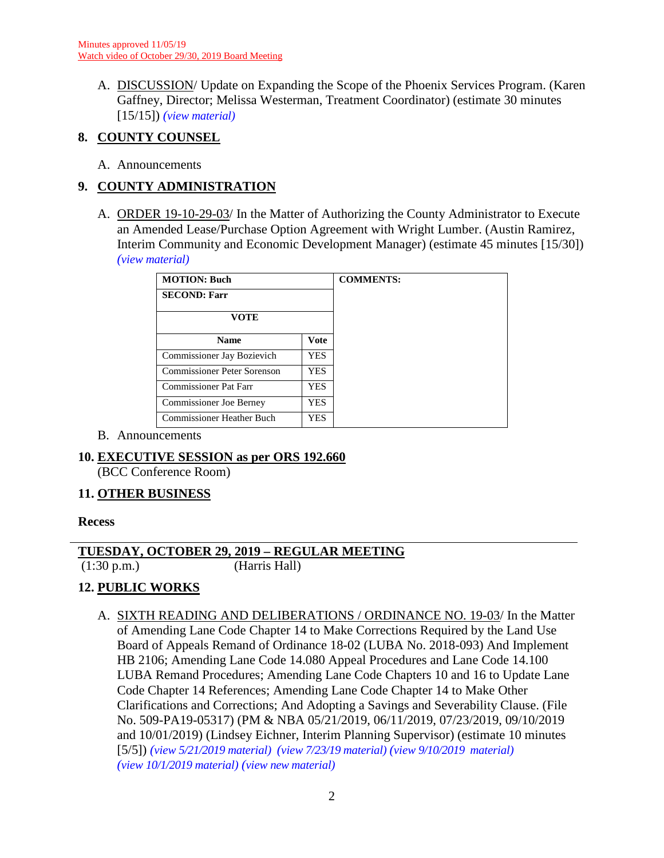A. DISCUSSION/ Update on Expanding the Scope of the Phoenix Services Program. (Karen Gaffney, Director; Melissa Westerman, Treatment Coordinator) (estimate 30 minutes [15/15]) *(view [material\)](http://www.lanecountyor.gov/UserFiles/Servers/Server_3585797/File/Government/BCC/2019/2019_AGENDAS/102919agenda/T.7.A.pdf)*

## **8. COUNTY COUNSEL**

A. Announcements

## **9. COUNTY ADMINISTRATION**

A. ORDER 19-10-29-03/ In the Matter of Authorizing the County Administrator to Execute an Amended Lease/Purchase Option Agreement with Wright Lumber. (Austin Ramirez, Interim Community and Economic Development Manager) (estimate 45 minutes [15/30]) *(view [material\)](http://www.lanecountyor.gov/UserFiles/Servers/Server_3585797/File/Government/BCC/2019/2019_AGENDAS/102919agenda/T.9.A.pdf)*

| <b>MOTION: Buch</b>              |             | <b>COMMENTS:</b> |
|----------------------------------|-------------|------------------|
| <b>SECOND: Farr</b>              |             |                  |
| <b>VOTE</b>                      |             |                  |
| <b>Name</b>                      | <b>Vote</b> |                  |
| Commissioner Jay Bozievich       | <b>YES</b>  |                  |
| Commissioner Peter Sorenson      | <b>YES</b>  |                  |
| <b>Commissioner Pat Farr</b>     | <b>YES</b>  |                  |
| <b>Commissioner Joe Berney</b>   | <b>YES</b>  |                  |
| <b>Commissioner Heather Buch</b> | <b>YES</b>  |                  |

B. Announcements

#### **10. EXECUTIVE SESSION as per ORS 192.660**

(BCC Conference Room)

#### **11. OTHER BUSINESS**

#### **Recess**

#### **TUESDAY, OCTOBER 29, 2019 – REGULAR MEETING**

(1:30 p.m.) (Harris Hall)

# **12. PUBLIC WORKS**

A. SIXTH READING AND DELIBERATIONS / ORDINANCE NO. 19-03/ In the Matter of Amending Lane Code Chapter 14 to Make Corrections Required by the Land Use Board of Appeals Remand of Ordinance 18-02 (LUBA No. 2018-093) And Implement HB 2106; Amending Lane Code 14.080 Appeal Procedures and Lane Code 14.100 LUBA Remand Procedures; Amending Lane Code Chapters 10 and 16 to Update Lane Code Chapter 14 References; Amending Lane Code Chapter 14 to Make Other Clarifications and Corrections; And Adopting a Savings and Severability Clause. (File No. 509-PA19-05317) (PM & NBA 05/21/2019, 06/11/2019, 07/23/2019, 09/10/2019 and 10/01/2019) (Lindsey Eichner, Interim Planning Supervisor) (estimate 10 minutes [5/5]) *(view [5/21/2019 material\)](http://www.lanecounty.org/UserFiles/Servers/Server_3585797/File/Government/BCC/2019/2019_AGENDAS/052119agenda/T.7.A.pdf) (view [7/23/19 material\)](http://www.lanecounty.org/UserFiles/Servers/Server_3585797/File/Government/BCC/2019/2019_AGENDAS/072319agenda/T.11.B.pdf) (view [9/10/2019 material\)](http://www.lanecounty.org/UserFiles/Servers/Server_3585797/File/Government/BCC/2019/2019_AGENDAS/091019agenda/T.13.A.pdf) (view [10/1/2019 material\)](http://www.lanecounty.org/UserFiles/Servers/Server_3585797/File/Government/BCC/2019/2019_AGENDAS/100119agenda/T.13.A.pdf) (view [new material\)](http://www.lanecounty.org/UserFiles/Servers/Server_3585797/File/Government/BCC/2019/2019_AGENDAS/102919agenda/T.12.A.pdf)*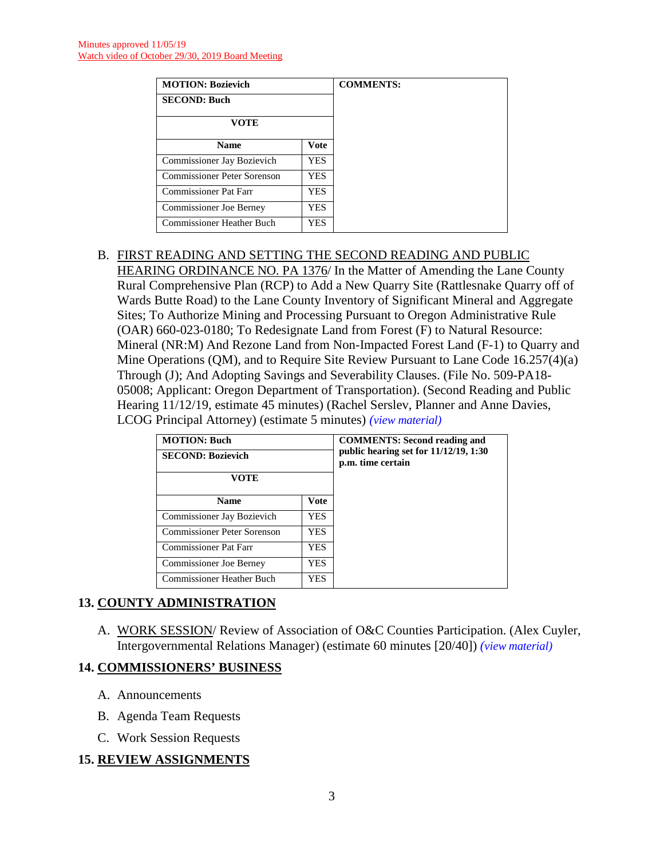| <b>MOTION: Bozievich</b>           |      | <b>COMMENTS:</b> |
|------------------------------------|------|------------------|
| <b>SECOND: Buch</b>                |      |                  |
| VOTE                               |      |                  |
| <b>Name</b>                        | Vote |                  |
| Commissioner Jay Bozievich         | YES. |                  |
| <b>Commissioner Peter Sorenson</b> | YES. |                  |
| Commissioner Pat Farr              | YES. |                  |
| <b>Commissioner Joe Berney</b>     | YES. |                  |
| <b>Commissioner Heather Buch</b>   | YES. |                  |

# B. FIRST READING AND SETTING THE SECOND READING AND PUBLIC

HEARING ORDINANCE NO. PA 1376/ In the Matter of Amending the Lane County Rural Comprehensive Plan (RCP) to Add a New Quarry Site (Rattlesnake Quarry off of Wards Butte Road) to the Lane County Inventory of Significant Mineral and Aggregate Sites; To Authorize Mining and Processing Pursuant to Oregon Administrative Rule (OAR) 660-023-0180; To Redesignate Land from Forest (F) to Natural Resource: Mineral (NR:M) And Rezone Land from Non-Impacted Forest Land (F-1) to Quarry and Mine Operations (QM), and to Require Site Review Pursuant to Lane Code 16.257(4)(a) Through (J); And Adopting Savings and Severability Clauses. (File No. 509-PA18- 05008; Applicant: Oregon Department of Transportation). (Second Reading and Public Hearing 11/12/19, estimate 45 minutes) (Rachel Serslev, Planner and Anne Davies, LCOG Principal Attorney) (estimate 5 minutes) *(view [material\)](http://www.lanecounty.org/UserFiles/Servers/Server_3585797/File/Government/BCC/2019/2019_AGENDAS/102919agenda/T.12.B.pdf)*

| <b>MOTION: Buch</b><br><b>SECOND: Bozievich</b> | <b>COMMENTS: Second reading and</b><br>public hearing set for 11/12/19, 1:30<br>p.m. time certain |  |
|-------------------------------------------------|---------------------------------------------------------------------------------------------------|--|
| VOTE                                            |                                                                                                   |  |
| <b>Name</b>                                     |                                                                                                   |  |
| Commissioner Jay Bozievich                      | YES.                                                                                              |  |
| Commissioner Peter Sorenson                     | YES.                                                                                              |  |
| <b>Commissioner Pat Farr</b>                    | YES.                                                                                              |  |
| Commissioner Joe Berney                         | YES.                                                                                              |  |
| Commissioner Heather Buch                       | YES.                                                                                              |  |

# **13. COUNTY ADMINISTRATION**

A. WORK SESSION/ Review of Association of O&C Counties Participation. (Alex Cuyler, Intergovernmental Relations Manager) (estimate 60 minutes [20/40]) *(view [material\)](http://www.lanecounty.org/UserFiles/Servers/Server_3585797/File/Government/BCC/2019/2019_AGENDAS/102919agenda/T.13.A.pdf)*

#### **14. COMMISSIONERS' BUSINESS**

- A. Announcements
- B. Agenda Team Requests
- C. Work Session Requests

# **15. REVIEW ASSIGNMENTS**